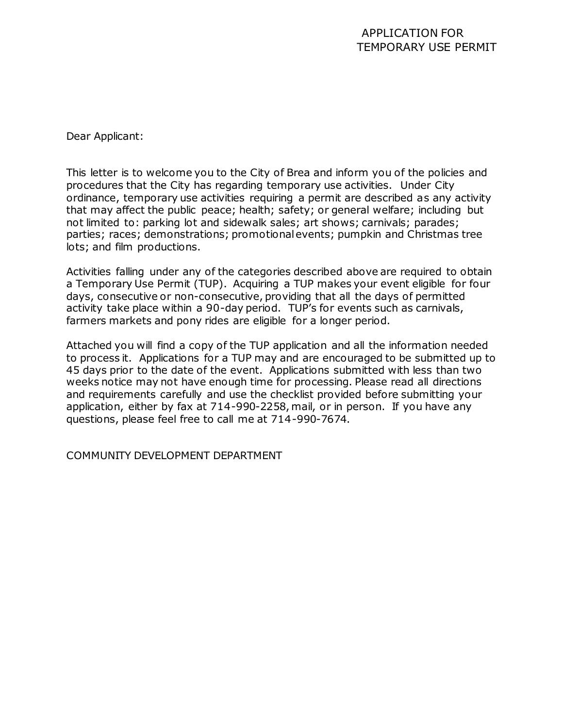### APPLICATION FOR TEMPORARY USE PERMIT

Dear Applicant:

This letter is to welcome you to the City of Brea and inform you of the policies and procedures that the City has regarding temporary use activities. Under City ordinance, temporary use activities requiring a permit are described as any activity that may affect the public peace; health; safety; or general welfare; including but not limited to: parking lot and sidewalk sales; art shows; carnivals; parades; parties; races; demonstrations; promotional events; pumpkin and Christmas tree lots; and film productions.

Activities falling under any of the categories described above are required to obtain a Temporary Use Permit (TUP). Acquiring a TUP makes your event eligible for four days, consecutive or non-consecutive, providing that all the days of permitted activity take place within a 90-day period. TUP's for events such as carnivals, farmers markets and pony rides are eligible for a longer period.

Attached you will find a copy of the TUP application and all the information needed to process it. Applications for a TUP may and are encouraged to be submitted up to 45 days prior to the date of the event. Applications submitted with less than two weeks notice may not have enough time for processing. Please read all directions and requirements carefully and use the checklist provided before submitting your application, either by fax at 714-990-2258, mail, or in person. If you have any questions, please feel free to call me at 714-990-7674.

COMMUNITY DEVELOPMENT DEPARTMENT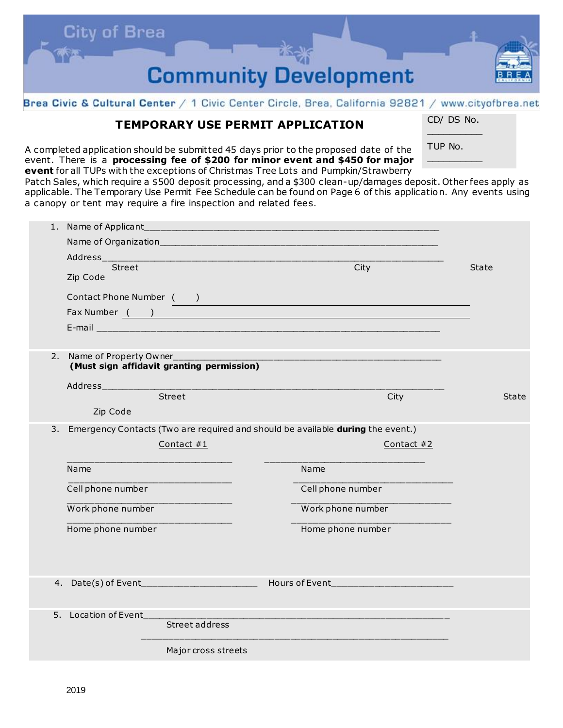

#### Brea Civic & Cultural Center / 1 Civic Center Circle, Brea, California 92821 / www.cityofbrea.net

## **TEMPORARY USE PERMIT APPLICATION**

CD/ DS No.  $\mathcal{L}$  and  $\mathcal{L}$ 

 $\mathcal{L}$  and  $\mathcal{L}$ 

A completed application should be submitted 45 days prior to the proposed date of the event. There is a **processing fee of \$200 for minor event and \$450 for major event** for all TUPs with the exceptions of Christmas Tree Lots and Pumpkin/Strawberry

TUP No.

Patch Sales, which require a \$500 deposit processing, and a \$300 clean-up/damages deposit. Other fees apply as applicable. The Temporary Use Permit Fee Schedule can be found on Page 6 of this application. Any events using a canopy or tent may require a fire inspection and related fees.

|    | 1. Name of Applicant                                                            |                     |                                  |            |              |
|----|---------------------------------------------------------------------------------|---------------------|----------------------------------|------------|--------------|
|    |                                                                                 |                     |                                  |            |              |
|    | <b>Address</b>                                                                  |                     |                                  |            |              |
|    | Street                                                                          |                     | City                             |            | <b>State</b> |
|    | Zip Code                                                                        |                     |                                  |            |              |
|    | Contact Phone Number ( )                                                        |                     |                                  |            |              |
|    | Fax Number ( )                                                                  |                     |                                  |            |              |
|    |                                                                                 |                     |                                  |            |              |
|    |                                                                                 |                     |                                  |            |              |
| 2. | Name of Property Owner_                                                         |                     |                                  |            |              |
|    | (Must sign affidavit granting permission)                                       |                     |                                  |            |              |
|    |                                                                                 |                     |                                  |            |              |
|    | Street                                                                          |                     |                                  | City       | <b>State</b> |
|    | Zip Code                                                                        |                     |                                  |            |              |
| 3. | Emergency Contacts (Two are required and should be available during the event.) |                     |                                  |            |              |
|    |                                                                                 | Contact $#1$        |                                  | Contact #2 |              |
|    |                                                                                 |                     |                                  |            |              |
|    | Name                                                                            |                     | Name                             |            |              |
|    |                                                                                 |                     |                                  |            |              |
|    | Cell phone number                                                               |                     | Cell phone number                |            |              |
|    | Work phone number                                                               |                     | Work phone number                |            |              |
|    | Home phone number                                                               |                     | Home phone number                |            |              |
|    |                                                                                 |                     |                                  |            |              |
|    |                                                                                 |                     |                                  |            |              |
|    |                                                                                 |                     |                                  |            |              |
|    | 4. Date(s) of Event__________                                                   |                     | Hours of Event__________________ |            |              |
|    |                                                                                 |                     |                                  |            |              |
|    | 5. Location of Event                                                            |                     |                                  |            |              |
|    |                                                                                 | Street address      |                                  |            |              |
|    |                                                                                 |                     |                                  |            |              |
|    |                                                                                 | Major cross streets |                                  |            |              |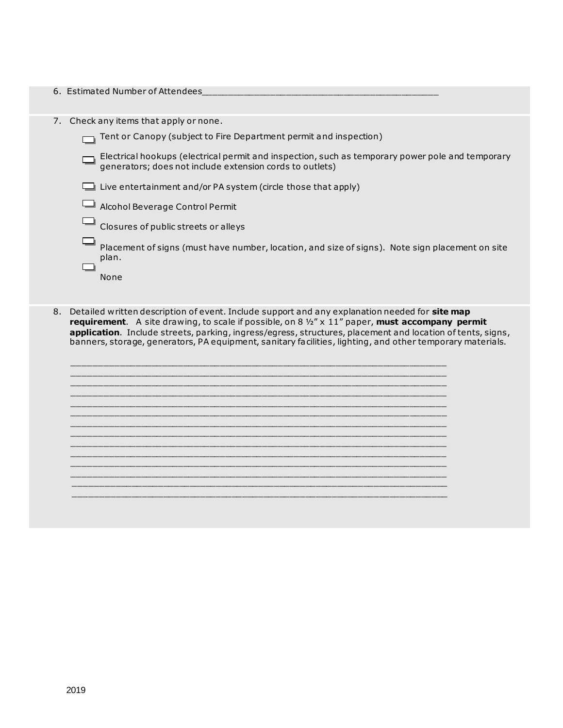| 6. Estimated Number of Attendees                                                                                                                                                                                                                                                                                                                                                                                                                                                                                                                   |
|----------------------------------------------------------------------------------------------------------------------------------------------------------------------------------------------------------------------------------------------------------------------------------------------------------------------------------------------------------------------------------------------------------------------------------------------------------------------------------------------------------------------------------------------------|
| 7. Check any items that apply or none.<br>Tent or Canopy (subject to Fire Department permit and inspection)<br>Electrical hookups (electrical permit and inspection, such as temporary power pole and temporary<br>generators; does not include extension cords to outlets)<br>$\Box$ Live entertainment and/or PA system (circle those that apply)<br>Alcohol Beverage Control Permit<br>Closures of public streets or alleys<br>Placement of signs (must have number, location, and size of signs). Note sign placement on site<br>plan.<br>None |
| Detailed written description of event. Include support and any explanation needed for site map<br>8.<br>requirement. A site drawing, to scale if possible, on 8 1/2" x 11" paper, must accompany permit                                                                                                                                                                                                                                                                                                                                            |

**application**. Include streets, parking, ingress/egress, structures, placement and location of tents, signs, banners, storage, generators, PA equipment, sanitary facilities, lighting, and other temporary materials.

 $\overline{\phantom{a}}$  ,  $\overline{\phantom{a}}$  ,  $\overline{\phantom{a}}$  ,  $\overline{\phantom{a}}$  ,  $\overline{\phantom{a}}$  ,  $\overline{\phantom{a}}$  ,  $\overline{\phantom{a}}$  ,  $\overline{\phantom{a}}$  ,  $\overline{\phantom{a}}$  ,  $\overline{\phantom{a}}$  ,  $\overline{\phantom{a}}$  ,  $\overline{\phantom{a}}$  ,  $\overline{\phantom{a}}$  ,  $\overline{\phantom{a}}$  ,  $\overline{\phantom{a}}$  ,  $\overline{\phantom{a}}$  $\overline{\phantom{a}}$  ,  $\overline{\phantom{a}}$  ,  $\overline{\phantom{a}}$  ,  $\overline{\phantom{a}}$  ,  $\overline{\phantom{a}}$  ,  $\overline{\phantom{a}}$  ,  $\overline{\phantom{a}}$  ,  $\overline{\phantom{a}}$  ,  $\overline{\phantom{a}}$  ,  $\overline{\phantom{a}}$  ,  $\overline{\phantom{a}}$  ,  $\overline{\phantom{a}}$  ,  $\overline{\phantom{a}}$  ,  $\overline{\phantom{a}}$  ,  $\overline{\phantom{a}}$  ,  $\overline{\phantom{a}}$  $\overline{\phantom{a}}$  ,  $\overline{\phantom{a}}$  ,  $\overline{\phantom{a}}$  ,  $\overline{\phantom{a}}$  ,  $\overline{\phantom{a}}$  ,  $\overline{\phantom{a}}$  ,  $\overline{\phantom{a}}$  ,  $\overline{\phantom{a}}$  ,  $\overline{\phantom{a}}$  ,  $\overline{\phantom{a}}$  ,  $\overline{\phantom{a}}$  ,  $\overline{\phantom{a}}$  ,  $\overline{\phantom{a}}$  ,  $\overline{\phantom{a}}$  ,  $\overline{\phantom{a}}$  ,  $\overline{\phantom{a}}$  $\overline{\phantom{a}}$  ,  $\overline{\phantom{a}}$  ,  $\overline{\phantom{a}}$  ,  $\overline{\phantom{a}}$  ,  $\overline{\phantom{a}}$  ,  $\overline{\phantom{a}}$  ,  $\overline{\phantom{a}}$  ,  $\overline{\phantom{a}}$  ,  $\overline{\phantom{a}}$  ,  $\overline{\phantom{a}}$  ,  $\overline{\phantom{a}}$  ,  $\overline{\phantom{a}}$  ,  $\overline{\phantom{a}}$  ,  $\overline{\phantom{a}}$  ,  $\overline{\phantom{a}}$  ,  $\overline{\phantom{a}}$  $\overline{\phantom{a}}$  ,  $\overline{\phantom{a}}$  ,  $\overline{\phantom{a}}$  ,  $\overline{\phantom{a}}$  ,  $\overline{\phantom{a}}$  ,  $\overline{\phantom{a}}$  ,  $\overline{\phantom{a}}$  ,  $\overline{\phantom{a}}$  ,  $\overline{\phantom{a}}$  ,  $\overline{\phantom{a}}$  ,  $\overline{\phantom{a}}$  ,  $\overline{\phantom{a}}$  ,  $\overline{\phantom{a}}$  ,  $\overline{\phantom{a}}$  ,  $\overline{\phantom{a}}$  ,  $\overline{\phantom{a}}$  $\overline{\phantom{a}}$  ,  $\overline{\phantom{a}}$  ,  $\overline{\phantom{a}}$  ,  $\overline{\phantom{a}}$  ,  $\overline{\phantom{a}}$  ,  $\overline{\phantom{a}}$  ,  $\overline{\phantom{a}}$  ,  $\overline{\phantom{a}}$  ,  $\overline{\phantom{a}}$  ,  $\overline{\phantom{a}}$  ,  $\overline{\phantom{a}}$  ,  $\overline{\phantom{a}}$  ,  $\overline{\phantom{a}}$  ,  $\overline{\phantom{a}}$  ,  $\overline{\phantom{a}}$  ,  $\overline{\phantom{a}}$ 

 $\overline{\phantom{a}}$  ,  $\overline{\phantom{a}}$  ,  $\overline{\phantom{a}}$  ,  $\overline{\phantom{a}}$  ,  $\overline{\phantom{a}}$  ,  $\overline{\phantom{a}}$  ,  $\overline{\phantom{a}}$  ,  $\overline{\phantom{a}}$  ,  $\overline{\phantom{a}}$  ,  $\overline{\phantom{a}}$  ,  $\overline{\phantom{a}}$  ,  $\overline{\phantom{a}}$  ,  $\overline{\phantom{a}}$  ,  $\overline{\phantom{a}}$  ,  $\overline{\phantom{a}}$  ,  $\overline{\phantom{a}}$  $\overline{\phantom{a}}$  ,  $\overline{\phantom{a}}$  ,  $\overline{\phantom{a}}$  ,  $\overline{\phantom{a}}$  ,  $\overline{\phantom{a}}$  ,  $\overline{\phantom{a}}$  ,  $\overline{\phantom{a}}$  ,  $\overline{\phantom{a}}$  ,  $\overline{\phantom{a}}$  ,  $\overline{\phantom{a}}$  ,  $\overline{\phantom{a}}$  ,  $\overline{\phantom{a}}$  ,  $\overline{\phantom{a}}$  ,  $\overline{\phantom{a}}$  ,  $\overline{\phantom{a}}$  ,  $\overline{\phantom{a}}$  $\overline{\phantom{a}}$  ,  $\overline{\phantom{a}}$  ,  $\overline{\phantom{a}}$  ,  $\overline{\phantom{a}}$  ,  $\overline{\phantom{a}}$  ,  $\overline{\phantom{a}}$  ,  $\overline{\phantom{a}}$  ,  $\overline{\phantom{a}}$  ,  $\overline{\phantom{a}}$  ,  $\overline{\phantom{a}}$  ,  $\overline{\phantom{a}}$  ,  $\overline{\phantom{a}}$  ,  $\overline{\phantom{a}}$  ,  $\overline{\phantom{a}}$  ,  $\overline{\phantom{a}}$  ,  $\overline{\phantom{a}}$  $\overline{\phantom{a}}$  ,  $\overline{\phantom{a}}$  ,  $\overline{\phantom{a}}$  ,  $\overline{\phantom{a}}$  ,  $\overline{\phantom{a}}$  ,  $\overline{\phantom{a}}$  ,  $\overline{\phantom{a}}$  ,  $\overline{\phantom{a}}$  ,  $\overline{\phantom{a}}$  ,  $\overline{\phantom{a}}$  ,  $\overline{\phantom{a}}$  ,  $\overline{\phantom{a}}$  ,  $\overline{\phantom{a}}$  ,  $\overline{\phantom{a}}$  ,  $\overline{\phantom{a}}$  ,  $\overline{\phantom{a}}$  $\overline{\phantom{a}}$  ,  $\overline{\phantom{a}}$  ,  $\overline{\phantom{a}}$  ,  $\overline{\phantom{a}}$  ,  $\overline{\phantom{a}}$  ,  $\overline{\phantom{a}}$  ,  $\overline{\phantom{a}}$  ,  $\overline{\phantom{a}}$  ,  $\overline{\phantom{a}}$  ,  $\overline{\phantom{a}}$  ,  $\overline{\phantom{a}}$  ,  $\overline{\phantom{a}}$  ,  $\overline{\phantom{a}}$  ,  $\overline{\phantom{a}}$  ,  $\overline{\phantom{a}}$  ,  $\overline{\phantom{a}}$  $\mathcal{L}_\text{max} = \frac{1}{2} \sum_{i=1}^{n} \frac{1}{2} \sum_{i=1}^{n} \frac{1}{2} \sum_{i=1}^{n} \frac{1}{2} \sum_{i=1}^{n} \frac{1}{2} \sum_{i=1}^{n} \frac{1}{2} \sum_{i=1}^{n} \frac{1}{2} \sum_{i=1}^{n} \frac{1}{2} \sum_{i=1}^{n} \frac{1}{2} \sum_{i=1}^{n} \frac{1}{2} \sum_{i=1}^{n} \frac{1}{2} \sum_{i=1}^{n} \frac{1}{2} \sum_{i=1}^{n} \frac{1$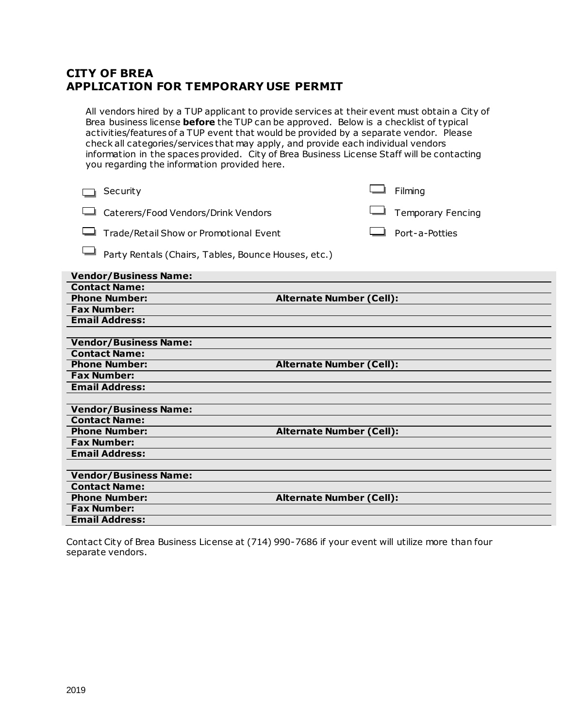### **CITY OF BREA APPLICATION FOR TEMPORARY USE PERMIT**

All vendors hired by a TUP applicant to provide services at their event must obtain a City of Brea business license **before** the TUP can be approved. Below is a checklist of typical activities/features of a TUP event that would be provided by a separate vendor. Please check all categories/services that may apply, and provide each individual vendors information in the spaces provided. City of Brea Business License Staff will be contacting you regarding the information provided here.

| Security                                            | Filming                         |
|-----------------------------------------------------|---------------------------------|
| Caterers/Food Vendors/Drink Vendors                 | <b>Temporary Fencing</b>        |
| Trade/Retail Show or Promotional Event              | Port-a-Potties                  |
| Party Rentals (Chairs, Tables, Bounce Houses, etc.) |                                 |
| <b>Vendor/Business Name:</b>                        |                                 |
| <b>Contact Name:</b>                                |                                 |
| <b>Phone Number:</b>                                | <b>Alternate Number (Cell):</b> |
| <b>Fax Number:</b>                                  |                                 |
| <b>Email Address:</b>                               |                                 |
|                                                     |                                 |
| <b>Vendor/Business Name:</b>                        |                                 |
| <b>Contact Name:</b>                                |                                 |
| <b>Phone Number:</b>                                | <b>Alternate Number (Cell):</b> |
| <b>Fax Number:</b>                                  |                                 |
| <b>Email Address:</b>                               |                                 |
|                                                     |                                 |
| <b>Vendor/Business Name:</b>                        |                                 |
| <b>Contact Name:</b>                                |                                 |
| <b>Phone Number:</b>                                | <b>Alternate Number (Cell):</b> |
| <b>Fax Number:</b>                                  |                                 |
| <b>Email Address:</b>                               |                                 |
|                                                     |                                 |
| <b>Vendor/Business Name:</b>                        |                                 |
| <b>Contact Name:</b>                                |                                 |
| <b>Phone Number:</b>                                | <b>Alternate Number (Cell):</b> |
| <b>Fax Number:</b>                                  |                                 |
| <b>Email Address:</b>                               |                                 |
|                                                     |                                 |

Contact City of Brea Business License at (714) 990-7686 if your event will utilize more than four separate vendors.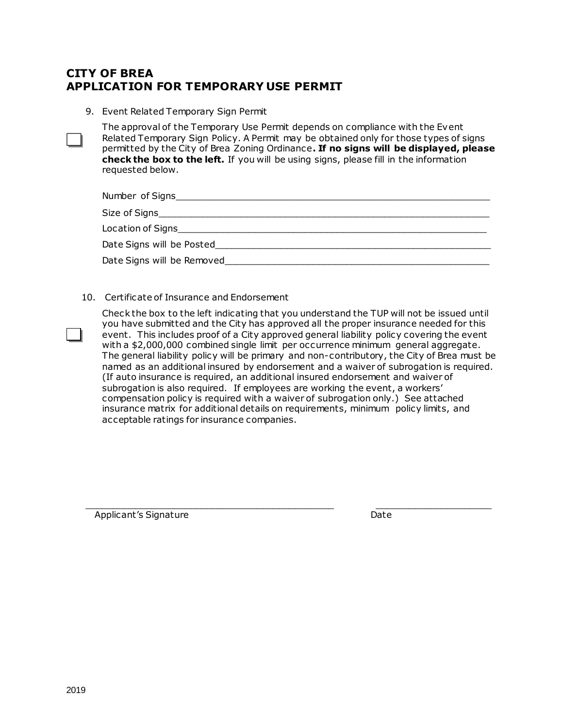## **CITY OF BREA APPLICATION FOR TEMPORARY USE PERMIT**

9. Event Related Temporary Sign Permit

The approval of the Temporary Use Permit depends on compliance with the Event Related Temporary Sign Policy. A Permit may be obtained only for those types of signs permitted by the City of Brea Zoning Ordinance**. If no signs will be displayed, please check the box to the left.** If you will be using signs, please fill in the information requested below.

| Number of Signs                                              |
|--------------------------------------------------------------|
| Size of Signs <b>Signs Signs Size of Signs Size of Signs</b> |
| Location of Signs <b>Location</b> of Signs                   |
| Date Signs will be Posted                                    |
| Date Signs will be Removed                                   |

10. Certificate of Insurance and Endorsement

Check the box to the left indicating that you understand the TUP will not be issued until you have submitted and the City has approved all the proper insurance needed for this event. This includes proof of a City approved general liability policy covering the event with a \$2,000,000 combined single limit per occurrence minimum general aggregate. The general liability policy will be primary and non-contributory, the City of Brea must be named as an additional insured by endorsement and a waiver of subrogation is required. (If auto insurance is required, an additional insured endorsement and waiver of subrogation is also required. If employees are working the event, a workers' compensation policy is required with a waiver of subrogation only.) See attached insurance matrix for additional details on requirements, minimum policy limits, and acceptable ratings for insurance companies.

\_\_\_\_\_\_\_\_\_\_\_\_\_\_\_\_\_\_\_\_\_\_\_\_\_\_\_\_\_\_\_\_\_\_\_\_\_\_\_\_\_\_\_\_\_ \_\_\_\_\_\_\_\_\_\_\_\_\_\_\_\_\_\_\_\_\_

Applicant's Signature and Controller and Controller and Date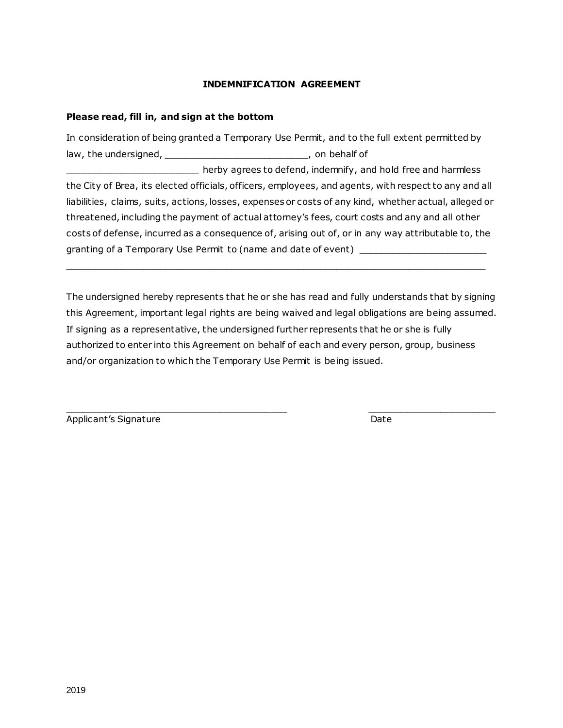#### **INDEMNIFICATION AGREEMENT**

#### **Please read, fill in, and sign at the bottom**

In consideration of being granted a Temporary Use Permit, and to the full extent permitted by law, the undersigned, \_\_\_\_\_\_\_\_\_\_\_\_\_\_\_\_\_\_\_\_\_\_\_\_\_\_\_\_\_\_\_, on behalf of herby agrees to defend, indemnify, and hold free and harmless the City of Brea, its elected officials, officers, employees, and agents, with respect to any and all liabilities, claims, suits, actions, losses, expenses or costs of any kind, whether actual, alleged or threatened, including the payment of actual attorney's fees, court costs and any and all other costs of defense, incurred as a consequence of, arising out of, or in any way attributable to, the granting of a Temporary Use Permit to (name and date of event)

The undersigned hereby represents that he or she has read and fully understands that by signing this Agreement, important legal rights are being waived and legal obligations are being assumed. If signing as a representative, the undersigned further represents that he or she is fully authorized to enter into this Agreement on behalf of each and every person, group, business and/or organization to which the Temporary Use Permit is being issued.

\_\_\_\_\_\_\_\_\_\_\_\_\_\_\_\_\_\_\_\_\_\_\_\_\_\_\_\_\_\_\_\_\_\_\_\_\_\_\_\_\_\_\_\_\_\_\_\_\_\_\_\_\_\_\_\_\_\_\_\_\_\_\_\_\_\_\_\_\_\_\_\_\_\_\_\_

Applicant's Signature Date Date

 $\Box$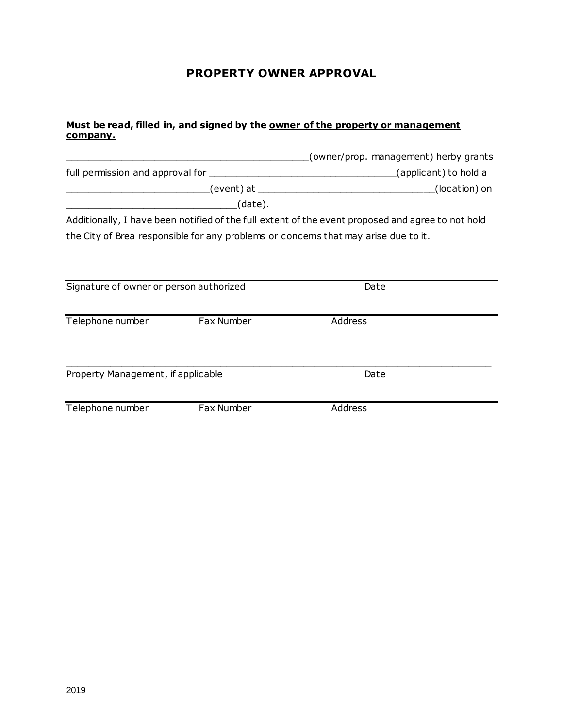# **PROPERTY OWNER APPROVAL**

#### **Must be read, filled in, and signed by the owner of the property or management company.**

|                                         |            | (owner/prop. management) herby grants                                                             |  |
|-----------------------------------------|------------|---------------------------------------------------------------------------------------------------|--|
|                                         |            |                                                                                                   |  |
|                                         |            | (location) on                                                                                     |  |
|                                         | (date).    |                                                                                                   |  |
|                                         |            | Additionally, I have been notified of the full extent of the event proposed and agree to not hold |  |
|                                         |            | the City of Brea responsible for any problems or concerns that may arise due to it.               |  |
|                                         |            |                                                                                                   |  |
|                                         |            |                                                                                                   |  |
| Signature of owner or person authorized |            | Date                                                                                              |  |
|                                         |            |                                                                                                   |  |
| Telephone number                        | Fax Number | Address                                                                                           |  |
|                                         |            |                                                                                                   |  |
|                                         |            |                                                                                                   |  |
| Property Management, if applicable      |            | Date                                                                                              |  |
|                                         |            |                                                                                                   |  |
| Telephone number                        | Fax Number | Address                                                                                           |  |
|                                         |            |                                                                                                   |  |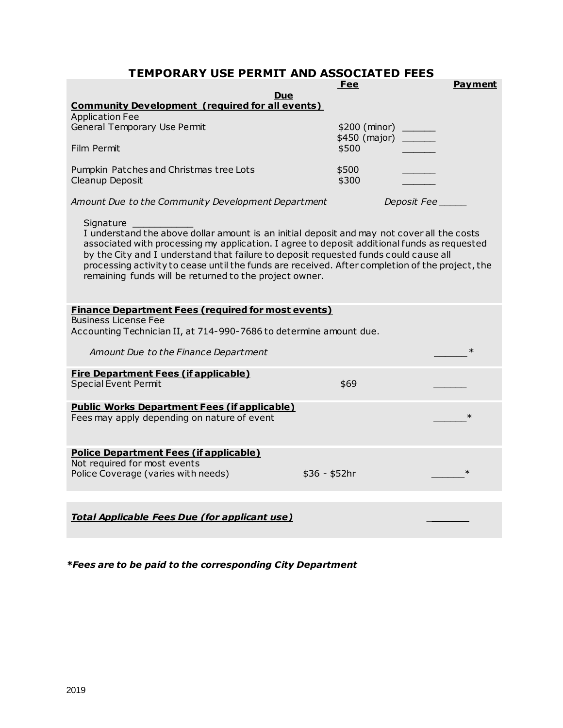# **TEMPORARY USE PERMIT AND ASSOCIATED FEES**

| UNANT USE FENMIT AND ASS                                                                                                                                                                                                                                                                                                                                                                                                                                    | JUIAI EV FEEJ<br>Fee | <b>Payment</b> |
|-------------------------------------------------------------------------------------------------------------------------------------------------------------------------------------------------------------------------------------------------------------------------------------------------------------------------------------------------------------------------------------------------------------------------------------------------------------|----------------------|----------------|
| <b>Due</b>                                                                                                                                                                                                                                                                                                                                                                                                                                                  |                      |                |
| <b>Community Development (required for all events)</b><br><b>Application Fee</b>                                                                                                                                                                                                                                                                                                                                                                            |                      |                |
| General Temporary Use Permit                                                                                                                                                                                                                                                                                                                                                                                                                                | \$200 (minor) ______ |                |
|                                                                                                                                                                                                                                                                                                                                                                                                                                                             | \$450 (major)        |                |
| Film Permit                                                                                                                                                                                                                                                                                                                                                                                                                                                 | \$500                |                |
| Pumpkin Patches and Christmas tree Lots                                                                                                                                                                                                                                                                                                                                                                                                                     | \$500                |                |
| Cleanup Deposit                                                                                                                                                                                                                                                                                                                                                                                                                                             | \$300                |                |
| Amount Due to the Community Development Department                                                                                                                                                                                                                                                                                                                                                                                                          | Deposit Fee          |                |
| Signature<br>I understand the above dollar amount is an initial deposit and may not cover all the costs<br>associated with processing my application. I agree to deposit additional funds as requested<br>by the City and I understand that failure to deposit requested funds could cause all<br>processing activity to cease until the funds are received. After completion of the project, the<br>remaining funds will be returned to the project owner. |                      |                |
| <b>Finance Department Fees (required for most events)</b>                                                                                                                                                                                                                                                                                                                                                                                                   |                      |                |
| <b>Business License Fee</b>                                                                                                                                                                                                                                                                                                                                                                                                                                 |                      |                |
| Accounting Technician II, at 714-990-7686 to determine amount due.                                                                                                                                                                                                                                                                                                                                                                                          |                      |                |
| Amount Due to the Finance Department                                                                                                                                                                                                                                                                                                                                                                                                                        |                      | $\ast$         |
| <b>Fire Department Fees (if applicable)</b>                                                                                                                                                                                                                                                                                                                                                                                                                 |                      |                |
| <b>Special Event Permit</b>                                                                                                                                                                                                                                                                                                                                                                                                                                 | \$69                 |                |
| <b>Public Works Department Fees (if applicable)</b>                                                                                                                                                                                                                                                                                                                                                                                                         |                      |                |
| Fees may apply depending on nature of event                                                                                                                                                                                                                                                                                                                                                                                                                 |                      | $\ast$         |
| <b>Police Department Fees (if applicable)</b>                                                                                                                                                                                                                                                                                                                                                                                                               |                      |                |
| Not required for most events<br>Police Coverage (varies with needs)                                                                                                                                                                                                                                                                                                                                                                                         | $$36 - $52hr$        | $\ast$         |
|                                                                                                                                                                                                                                                                                                                                                                                                                                                             |                      |                |
|                                                                                                                                                                                                                                                                                                                                                                                                                                                             |                      |                |
| <b>Total Applicable Fees Due (for applicant use)</b>                                                                                                                                                                                                                                                                                                                                                                                                        |                      |                |

*\*Fees are to be paid to the corresponding City Department*